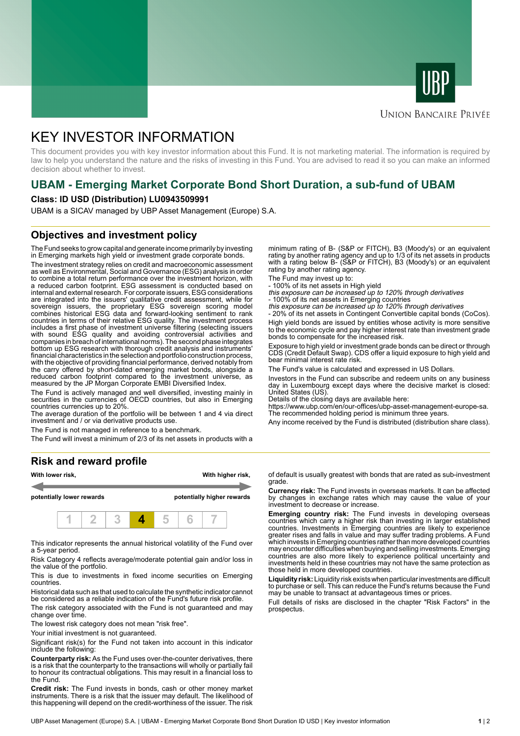



### **UNION BANCAIRE PRIVÉE**

# KEY INVESTOR INFORMATION

This document provides you with key investor information about this Fund. It is not marketing material. The information is required by law to help you understand the nature and the risks of investing in this Fund. You are advised to read it so you can make an informed decision about whether to invest.

# **UBAM - Emerging Market Corporate Bond Short Duration, a sub-fund of UBAM**

#### **Class: ID USD (Distribution) LU0943509991**

UBAM is a SICAV managed by UBP Asset Management (Europe) S.A.

### **Objectives and investment policy**

The Fund seeks to grow capital and generate income primarily by investing in Emerging markets high yield or investment grade corporate bonds.

The investment strategy relies on credit and macroeconomic assessment as well as Environmental, Social and Governance (ESG) analysis in order to combine a total return performance over the investment horizon, with a reduced carbon footprint. ESG assessment is conducted based on internal and external research. For corporate issuers, ESG considerations are integrated into the issuers' qualitative credit assessment, while for sovereign issuers, the proprietary ESG sovereign scoring model combines historical ESG data and forward-looking sentiment to rank countries in terms of their relative ESG quality. The investment process includes a first phase of investment universe filtering (selecting issuers with sound ESG quality and avoiding controversial activities and companies in breach of international norms). The second phase integrates bottom up ESG research with thorough credit analysis and instruments' financial characteristics in the selection and portfolio construction process, with the objective of providing financial performance, derived notably from the carry offered by short-dated emerging market bonds, alongside a reduced carbon footprint compared to the investment universe, as measured by the JP Morgan Corporate EMBI Diversified Index.

The Fund is actively managed and well diversified, investing mainly in securities in the currencies of OECD countries, but also in Emerging countries currencies up to 20%.

The average duration of the portfolio will be between 1 and 4 via direct investment and / or via derivative products use.

The Fund is not managed in reference to a benchmark.

The Fund will invest a minimum of 2/3 of its net assets in products with a

#### **Risk and reward profile**



This indicator represents the annual historical volatility of the Fund over a 5-year period.

Risk Category 4 reflects average/moderate potential gain and/or loss in the value of the portfolio.

This is due to investments in fixed income securities on Emerging countries.

Historical data such as that used to calculate the synthetic indicator cannot be considered as a reliable indication of the Fund's future risk profile.

The risk category associated with the Fund is not guaranteed and may change over time.

The lowest risk category does not mean "risk free".

Your initial investment is not guaranteed.

Significant risk(s) for the Fund not taken into account in this indicator include the following:

**Counterparty risk:** As the Fund uses over-the-counter derivatives, there is a risk that the counterparty to the transactions will wholly or partially fail to honour its contractual obligations. This may result in a financial loss to the Fund.

**Credit risk:** The Fund invests in bonds, cash or other money market instruments. There is a risk that the issuer may default. The likelihood of this happening will depend on the credit-worthiness of the issuer. The risk

minimum rating of B- (S&P or FITCH), B3 (Moody's) or an equivalent rating by another rating agency and up to 1/3 of its net assets in products with a rating below B- (S&P or FITCH), B3 (Moody's) or an equivalent rating by another rating agency.

The Fund may invest up to:

- 100% of its net assets in High yield this exposure can be increased up to 120% through derivatives

- 100% of its net assets in Emerging countries<br>*this exposure can be increased up to 120% through derivatives*<br>- 20% of its net assets in Contingent Convertible capital bonds (CoCos).

High yield bonds are issued by entities whose activity is more sensitive to the economic cycle and pay higher interest rate than investment grade bonds to compensate for the increased risk.

Exposure to high yield or investment grade bonds can be direct or through CDS (Credit Default Swap). CDS offer a liquid exposure to high yield and bear minimal interest rate risk.

The Fund's value is calculated and expressed in US Dollars.

Investors in the Fund can subscribe and redeem units on any business day in Luxembourg except days where the decisive market is closed: United States (US).

Details of the closing days are available here:

https://www.ubp.com/en/our-offices/ubp-asset-management-europe-sa. The recommended holding period is minimum three years.

Any income received by the Fund is distributed (distribution share class).

of default is usually greatest with bonds that are rated as sub-investment grade.

**Currency risk:** The Fund invests in overseas markets. It can be affected by changes in exchange rates which may cause the value of your investment to decrease or increase.

**Emerging country risk:** The Fund invests in developing overseas countries which carry a higher risk than investing in larger established countries. Investments in Emerging countries are likely to experience greater rises and falls in value and may suffer trading problems. A Fund which invests in Emerging countries rather than more developed countries may encounter difficulties when buying and selling investments. Emerging countries are also more likely to experience political uncertainty and investments held in these countries may not have the same protection as those held in more developed countries.

**Liquidity risk:** Liquidity risk exists when particular investments are difficult to purchase or sell. This can reduce the Fund's returns because the Fund may be unable to transact at advantageous times or prices.

Full details of risks are disclosed in the chapter "Risk Factors" in the prospectus.